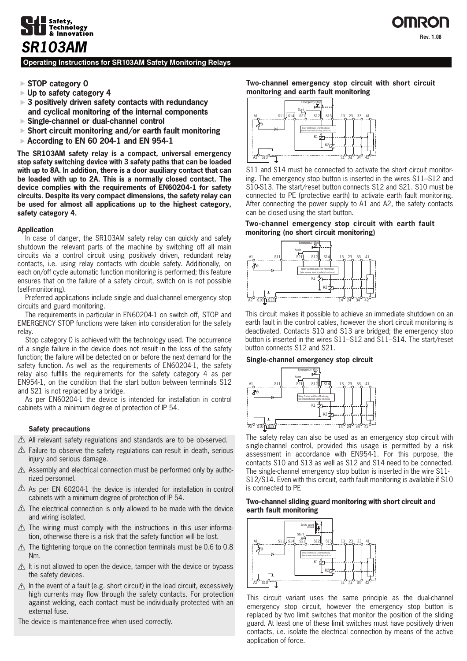

### **Operating Instructions for SR103AM Safety Monitoring Relays**

- **STOP category 0**
- **Up to safety category 4**
- **3 positively driven safety contacts with redundancy and cyclical monitoring of the internal components**
- **Single-channel or dual-channel control**
- **Short circuit monitoring and/or earth fault monitoring**
- **According to EN 60 204-1 and EN 954-1**

**The SR103AM safety relay is a compact, universal emergency stop safety switching device with 3 safety paths that can be loaded with up to 8A. In addition, there is a door auxiliary contact that can be loaded with up to 2A. This is a normally closed contact. The device complies with the requirements of EN60204-1 for safety circuits. Despite its very compact dimensions, the safety relay can be used for almost all applications up to the highest category, safety category 4.**

#### **Application**

 In case of danger, the SR103AM safety relay can quickly and safely shutdown the relevant parts of the machine by switching off all main circuits via a control circuit using positively driven, redundant relay contacts, i.e. using relay contacts with double safety. Additionally, on each on/off cycle automatic function monitoring is performed; this feature ensures that on the failure of a safety circuit, switch on is not possible (self-monitoring).

 Preferred applications include single and dual-channel emergency stop circuits and guard monitoring.

 The requirements in particular in EN60204-1 on switch off, STOP and EMERGENCY STOP functions were taken into consideration for the safety relay.

 Stop category 0 is achieved with the technology used. The occurrence of a single failure in the device does not result in the loss of the safety function; the failure will be detected on or before the next demand for the safety function. As well as the requirements of EN60204-1, the safety relay also fulfills the requirements for the safety category 4 as per EN954-1, on the condition that the start button between terminals S12 and S21 is not replaced by a bridge.

 As per EN60204-1 the device is intended for installation in control cabinets with a minimum degree of protection of IP 54.

#### **Safety precautions**

- All relevant safety regulations and standards are to be ob-served.
- $\triangle$  Failure to observe the safety regulations can result in death, serious injury and serious damage.
- $\triangle$  Assembly and electrical connection must be performed only by authorized personnel.
- $\triangle$  As per EN 60204-1 the device is intended for installation in control cabinets with a minimum degree of protection of IP 54.
- $\triangle$  The electrical connection is only allowed to be made with the device and wiring isolated.
- $\triangle$  The wiring must comply with the instructions in this user information, otherwise there is a risk that the safety function will be lost.
- $\Lambda$  The tightening torque on the connection terminals must be 0.6 to 0.8 Nm.
- $\triangle$  It is not allowed to open the device, tamper with the device or bypass the safety devices.
- $\Lambda$  In the event of a fault (e.g. short circuit) in the load circuit, excessively high currents may flow through the safety contacts. For protection against welding, each contact must be individually protected with an external fuse.

The device is maintenance-free when used correctly.

**Two-channel emergency stop circuit with short circuit monitoring and earth fault monitoring**



S11 and S14 must be connected to activate the short circuit monitoring. The emergency stop button is inserted in the wires S11–S12 and S10-S13. The start/reset button connects S12 and S21. S10 must be connected to PE (protective earth) to activate earth fault monitoring. After connecting the power supply to A1 and A2, the safety contacts can be closed using the start button.

#### **Two-channel emergency stop circuit with earth fault monitoring (no short circuit monitoring)**



This circuit makes it possible to achieve an immediate shutdown on an earth fault in the control cables, however the short circuit monitoring is deactivated. Contacts S10 and S13 are bridged; the emergency stop button is inserted in the wires S11–S12 and S11–S14. The start/reset button connects S12 and S21.

#### **Single-channel emergency stop circuit**



The safety relay can also be used as an emergency stop circuit with single-channel control, provided this usage is permitted by a risk assessment in accordance with EN954-1. For this purpose, the contacts S10 and S13 as well as S12 and S14 need to be connected. The single-channel emergency stop button is inserted in the wire S11- S12/S14. Even with this circuit, earth fault monitoring is available if S10 is connected to PE

#### **Two-channel sliding guard monitoring with short circuit and earth fault monitoring**



This circuit variant uses the same principle as the dual-channel emergency stop circuit, however the emergency stop button is replaced by two limit switches that monitor the position of the sliding guard. At least one of these limit switches must have positively driven contacts, i.e. isolate the electrical connection by means of the active application of force.